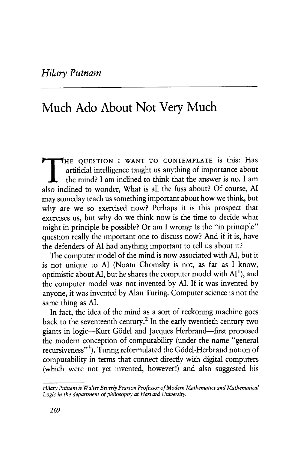# Much Ado About Not Very Much

THE QUESTION I WANT TO CONTEMPLATE is this: Has<br>artificial intelligence taught us anything of importance about artificial intelligence taught us any thing of importance about the mind? I am inclined to think that the answer is no. I am also inclined to wonder, What is all the fuss about? Of course, AI may someday teach us something important about how we think, but why are we so exercised now? Perhaps it is this prospect that exercises us, but why do we think now is the time to decide what might in principle be possible? Or am I wrong: Is the "in principle" question really the important one to discuss now? And if it is, have the defenders of AI had anything important to tell us about it?

The computer model of the mind is now associated with AI, but it is not unique to AI (Noam Chomsky is not, as far as I know, optimistic about AI, but he shares the computer model with  $AI<sup>1</sup>$ ), and the computer model was not invented by AI. If it was invented by the computer model was not invented by  $\Lambda$ . If it was invented by  $\Lambda$ anyone, it was invented by Alan Turing. Computer science is not same thing as AI.<br>In fact, the idea of the mind as a sort of reckoning machine goes

back to the seventeenth century.<sup>2</sup> In the early twentieth century two giants in logic—Kurt Gödel and Jacques Herbrand—first proposed the modern conception of computability (under the name "general recursiveness<sup>3</sup>). Turing reformulated the Gödel-Herbrand notion of computability in terms that connect directly with digital computers computability in terms that connective directly with digital computers  $(1, 1, 1, 1, 1)$ (which were not yet invented, however!) and also suggested

Hilary Putnam is Walter Beverly Pearson Professor of Modern Mathematics and Mathematical Logic in the department of philosophy at Harvard University.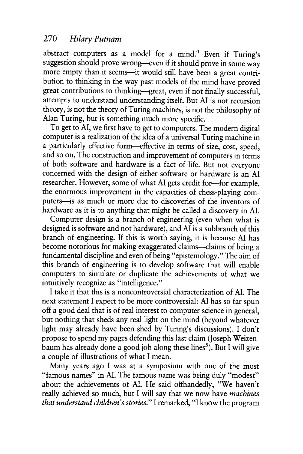270 *Hilary Putnam*<br>abstract computers as a model for a mind.<sup>4</sup> Even if Turing's suggestion should prove wrong—even if it should prove in some way more empty than it seems-it would still have been a great contribution to thinking in the way past models of the mind have proved great contributions to thinking—great, even if not finally successful. attempts to understand understanding itself. But AI is not recursion theory, is not the theory of Turing machines, is not the philosophy of Alan Turing, but is something much more specific.

To get to AI, we first have to get to computers. The modern digital computer is a realization of the idea of a universal Turing machine in a particularly effective form—effective in terms of size, cost, speed. and so on. The construction and improvement of computers in terms of both software and hardware is a fact of life. But not everyone concerned with the design of either software or hardware is an AI researcher. However, some of what AI gets credit for-for example, the enormous improvement in the capacities of chess-playing computers-is as much or more due to discoveries of the inventors of hardware as it is to anything that might be called a discovery in AI.

Computer design is a branch of engineering (even when what is designed is software and not hardware), and AI is a subbranch of this branch of engineering. If this is worth saying, it is because AI has become notorious for making exaggerated claims—claims of being a fundamental discipline and even of being "epistemology." The aim of this branch of engineering is to develop software that will enable this branch of engineering is to develop software that will encomputers to simulate or duplicate the achievements of what  $w = w + w + w + w + w$ 

 $I \cdot 1 \cdot 1 \cdot 1 \cdot 1 \cdot 1$  I take it that this is a noncontroversial characterization of AI. The next statement I expect to be more controversial: AI has so far spun off a good deal that is of real interest to computer science in general. but nothing that sheds any real light on the mind (beyond whatever light may already have been shed by Turing's discussions). I don't propose to spend my pages defending this last claim (Joseph Weizenbaum has already done a good job along these lines<sup>5</sup>). But I will give a couple of illustrations of what I mean.

Many years ago I was at a symposium with one of the most "famous names" in AI. The famous name was being duly "modest" about the achievements of AI. He said offhandedly, "We haven't really achieved so much, but I will say that we now have machines really achieved so much, but I will say that we now have machines that understand children's stories. Tremarked, TKnow the prog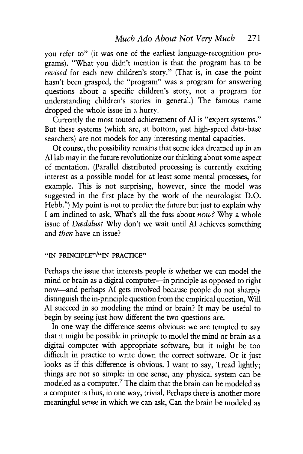you refer to" (it was one of the earliest language-recognition programs). "What you didn't mention is that the program has to be revised for each new children's story." (That is, in case the point hasn't been grasped, the "program" was a program for answering questions about a specific children's story, not a program for questions about a specific children's story, not a program for understanding children's stories in general.) The famous name dropped the whole issue in a hurry.<br>Currently the most touted achievement of AI is "expert systems."

But these systems (which are, at bottom, just high-speed data-base searchers) are not models for any interesting mental capacities.

Of course, the possibility remains that some idea dreamed up in an AI lab may in the future revolutionize our thinking about some aspect of mentation. (Parallel distributed processing is currently exciting interest as a possible model for at least some mental processes, for example. This is not surprising, however, since the model was suggested in the first place by the work of the neurologist D.O. Hebb.<sup>6</sup>) My point is not to predict the future but just to explain why I am inclined to ask, What's all the fuss about  $now?$  Why a whole I am inclined to ask, what's all the fuss about  $how$ ? Why a whole  $i_{1}, i_{2}, \ldots$  issue of Dictations. Why don't we wait until  $i_{1}$  achieves something and then have an issue?

#### "IN PRINCIPLE"/"IN PRACTICE"

Perhaps the issue that interests people *is* whether we can model the mind or brain as a digital computer—in principle as opposed to right now—and perhaps AI gets involved because people do not sharply distinguish the in-principle question from the empirical question. Will distinguish the in-principle question from the empirical question, Will AI succeed in so modeling the mind or brain? It may be useful to begin by seeing just how different the two questions are.<br>In one way the difference seems obvious: we are tempted to say

that it might be possible in principle to model the mind or brain as a digital computer with appropriate software, but it might be too difficult in practice to write down the correct software. Or it just looks as if this difference is obvious. I want to say, Tread lightly; things are not so simple: in one sense, any physical system can be modeled as a computer.<sup>7</sup> The claim that the brain can be modeled as a computer is thus, in one way, trivial. Perhaps there is another more  $\alpha$  computer is thus, in one way, trivial. Perhaps there is another more meaningful sense in which we can ask, Can the brain be modeled as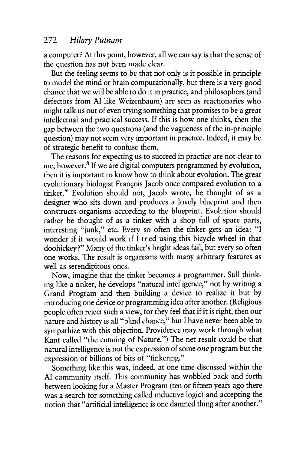a computer? At this point, however, all we can say is that the sense of

But the feeling seems to be that not only is it possible in principle. to model the mind or brain computationally, but there is a very good chance that we will be able to do it in practice, and philosophers (and defectors from AI like Weizenbaum) are seen as reactionaries who might talk us out of even trying something that promises to be a great intellectual and practical success. If this is how one thinks, then the gap between the two questions (and the vagueness of the in-principle question) may not seem very important in practice. Indeed, it may be of strategic benefit to confuse them.

The reasons for expecting us to succeed in practice are not clear to me, however.<sup>8</sup> If we are digital computers programmed by evolution, then it is important to know how to think about evolution. The great evolutionary biologist François Jacob once compared evolution to a tinker.<sup>9</sup> Evolution should not, Jacob wrote, be thought of as a designer who sits down and produces a lovely blueprint and then constructs organisms according to the blueprint. Evolution should rather be thought of as a tinker with a shop full of spare parts, interesting "junk," etc. Every so often the tinker gets an idea: "I wonder if it would work if I tried using this bicycle wheel in that doohickey?" Many of the tinker's bright ideas fail, but every so often doomercy? Thany of the tinker's bright ideas fail, but every so often one works. The result is organisms with many arbitrary features as

well as serendipitous ones.<br>Now, imagine that the tinker becomes a programmer. Still thinking like a tinker, he develops "natural intelligence," not by writing a Grand Program and then building a device to realize it but by introducing one device or programming idea after another. (Religious people often reject such a view, for they feel that if it is right, then our nature and history is all "blind chance," but I have never been able to sympathize with this objection. Providence may work through what Kant called "the cunning of Nature.") The net result could be that natural intelligence is not the expression of some one program but the expression of billions of bits of "tinkering."

Something like this was, indeed, at one time discussed within the AI community itself. This community has wobbled back and forth between looking for a Master Program (ten or fifteen years ago there was a search for something called inductive logic) and accepting the was a search for something called inductive logic) and accepting  $\frac{1}{\sqrt{2}}$ notion that "artificial intelligence is one damned thing after another."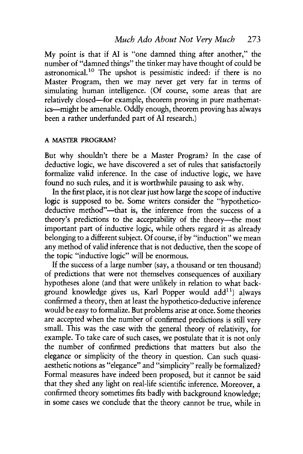My point is that if AI is "one damned thing after another," the number of "damned things" the tinker may have thought of could be astronomical.<sup>10</sup> The upshot is pessimistic indeed: if there is no Master Program, then we may never get very far in terms of simulating human intelligence. (Of course, some areas that are relatively closed—for example, theorem proving in pure mathematics—might be amenable. Oddly enough, theorem proving has always ics? inght be amenable. Oddly enough, theorem proving has always? been a rather underfunded part of AI research.)

#### A MASTER PROGRAM?

But why shouldn't there be a Master Program? In the case of deductive logic, we have discovered a set of rules that satisfactorily formalize valid inference. In the case of inductive logic, we have found no such rules, and it is worthwhile pausing to ask why.

In the first place, it is not clear just how large the scope of inductive logic is supposed to be. Some writers consider the "hypothetico logic is supposed to be. Some writers consider the "hypothetico  $d$  deductive method  $\frac{d}{dt}$  is, the inference from the success of a theory's predictions to the acceptability of the theory---the most<br>important part of inductive logic, while others regard it as already belonging to a different subject. Of course, if by "induction" we mean any method of valid inference that is not deductive, then the scope of the topic "inductive logic" will be enormous.

If the success of a large number (say, a thousand or ten thousand) of predictions that were not themselves consequences of auxiliary hypotheses alone (and that were unlikely in relation to what background knowledge gives us, Karl Popper would add<sup>11</sup>) always confirmed a theory, then at least the hypothetico-deductive inference would be easy to formalize. But problems arise at once. Some theories are accepted when the number of confirmed predictions is still very small. This was the case with the general theory of relativity, for example. To take care of such cases, we postulate that it is not only the number of confirmed predictions that matters but also the elegance or simplicity of the theory in question. Can such quasiaesthetic notions as "elegance" and "simplicity" really be formalized? Formal measures have indeed been proposed, but it cannot be said that they shed any light on real-life scientific inference. Moreover, a confirmed theory sometimes fits badly with background knowledge; confirmed theory sometimes fits badly with background knowledge; in some cases we conclude that the theory cannot be true, while in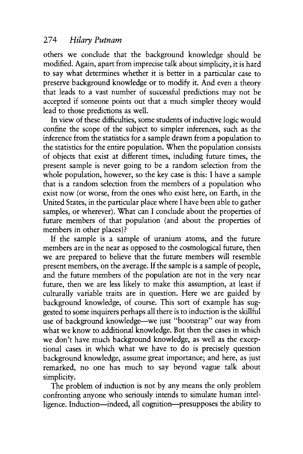others we conclude that the background knowledge should be modified. Again, apart from imprecise talk about simplicity, it is hard to say what determines whether it is better in a particular case to preserve background knowledge or to modify it. And even a theory that leads to a vast number of successful predictions may not be accepted if someone points out that a much simpler theory would lead to those predictions as well.

In view of these difficulties, some students of inductive logic would confine the scope of the subject to simpler inferences, such as the inference from the statistics for a sample drawn from a population to the statistics for the entire population. When the population consists of objects that exist at different times, including future times, the present sample is never going to be a random selection from the whole population, however, so the key case is this: I have a sample that is a random selection from the members of a population who exist now (or worse, from the ones who exist here, on Earth, in the United States, in the particular place where I have been able to gather samples, or wherever). What can I conclude about the properties of samples, or wherever). What can I conclude about the properties of future members of that population (and about the properties of members in other places)?<br>If the sample is a sample of uranium atoms, and the future

members are in the near as opposed to the cosmological future, then we are prepared to believe that the future members will resemble present members, on the average. If the sample is a sample of people, and the future members of the population are not in the very near future, then we are less likely to make this assumption, at least if culturally variable traits are in question. Here we are guided by background knowledge, of course. This sort of example has suggested to some inquirers perhaps all there is to induction is the skillful use of background knowledge—we just "bootstrap" our way from what we know to additional knowledge. But then the cases in which we don't have much background knowledge, as well as the exceptional cases in which what we have to do is precisely question background knowledge, assume great importance; and here, as just background knowledge, assume great importance; and here, as just remarked, no one has much to say beyond vague talk about

simplicity.<br>The problem of induction is not by any means the only problem confronting anyone who seriously intends to simulate human intelconfronting anyone who seriously intends to simulate human in ligence. Induction? indeed, all cognition? presupposes the ability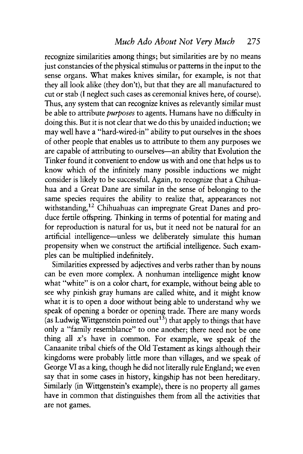recognize similarities among things; but similarities are by no means just constancies of the physical stimulus or patterns in the input to the sense organs. What makes knives similar, for example, is not that they all look alike (they don't), but that they are all manufactured to cut or stab (I neglect such cases as ceremonial knives here, of course). Thus, any system that can recognize knives as relevantly similar must be able to attribute *purposes* to agents. Humans have no difficulty in doing this. But it is not clear that we do this by unaided induction; we may well have a "hard-wired-in" ability to put ourselves in the shoes of other people that enables us to attribute to them any purposes we are capable of attributing to ourselves—an ability that Evolution the Tinker found it convenient to endow us with and one that helps us to know which of the infinitely many possible inductions we might consider is likely to be successful. Again, to recognize that a Chihuahua and a Great Dane are similar in the sense of belonging to the same species requires the ability to realize that, appearances not withstanding,<sup>12</sup> Chihuahuas can impregnate Great Danes and produce fertile offspring. Thinking in terms of potential for mating and for reproduction is natural for us, but it need not be natural for an artificial intelligence—unless we deliberately simulate this human propensity when we construct the artificial intelligence. Such examples can be multiplied indefinitely.

Similarities expressed by adjectives and verbs rather than by nouns can be even more complex. A nonhuman intelligence might know what "white" is on a color chart, for example, without being able to see why pinkish gray humans are called white, and it might know what it is to open a door without being able to understand why we speak of opening a border or opening trade. There are many words (as Ludwig Wittgenstein pointed out<sup>13</sup>) that apply to things that have only a "family resemblance" to one another; there need not be one thing all  $x$ 's have in common. For example, we speak of the Canaanite tribal chiefs of the Old Testament as kings although their kingdoms were probably little more than villages, and we speak of George VI as a king, though he did not literally rule England; we even say that in some cases in history, kingship has not been hereditary. Similarly (in Wittgenstein's example), there is no property all games  $\frac{1}{1}$  with  $\frac{1}{1}$  is  $\frac{1}{1}$  in  $\frac{1}{1}$  is no property all games have in common that distinguishes them from all the activities are not games.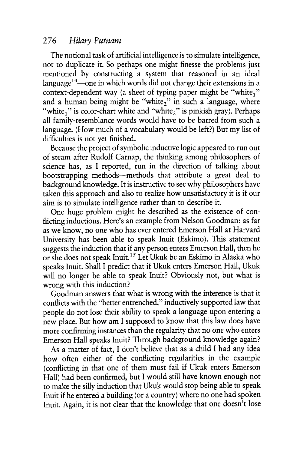The notional task of artificial intelligence is to simulate intelligence, not to duplicate it. So perhaps one might finesse the problems just mentioned by constructing a system that reasoned in an ideal language<sup>14</sup>—one in which words did not change their extensions in a context-dependent way (a sheet of typing paper might be "white," and a human being might be "white," in such a language, where "white<sub>1</sub>" is color-chart white and "white<sub>2</sub>" is pinkish gray). Perhaps all family-resemblance words would have to be barred from such a all family-resemblance words would have to be barred from such a language. (How much of a vocabulary would be left.) But my list of difficulties is not yet finished.<br>Because the project of symbolic inductive logic appeared to run out

of steam after Rudolf Carnap, the thinking among philosophers of science has, as I reported, run in the direction of talking about bootstrapping methods—methods that attribute a great deal to background knowledge. It is instructive to see why philosophers have taken this approach and also to realize how unsatisfactory it is if our aim is to simulate intelligence rather than to describe it.

One huge problem might be described as the existence of conflicting inductions. Here's an example from Nelson Goodman: as far as we know, no one who has ever entered Emerson Hall at Harvard University has been able to speak Inuit (Eskimo). This statement suggests the induction that if any person enters Emerson Hall, then he or she does not speak Inuit.<sup>15</sup> Let Ukuk be an Eskimo in Alaska who speaks Inuit. Shall I predict that if Ukuk enters Emerson Hall, Ukuk speaks Inuit. Shall I predict that if Ukak enters Emerson Hall, Ukuk enters will no longer be able to speak Inuit? Obviously not, but what is

wrong with this induction. Goodman answers that what is wrong with the inference is that it conflicts with the "better entrenched," inductively supported law that people do not lose their ability to speak a language upon entering a new place. But how am I supposed to know that this law does have more confirming instances than the regularity that no one who enters Emerson Hall speaks Inuit? Through background knowledge again?

As a matter of fact, I don't believe that as a child I had any idea how often either of the conflicting regularities in the example (conflicting in that one of them must fail if Ukuk enters Emerson (Hall) had been confirmed, but I would still have known enough not to make the silly induction that Ukuk would stop being able to speak Inuit if he entered a building (or a country) where no one had spoken Inuit if he entered a building (or a country) where no one had spoken Inuit. Again, it is not clear that the knowledge that one doesn't lose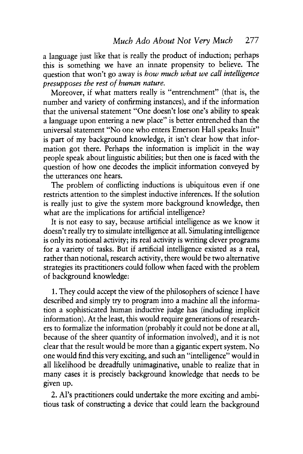a language just like that is really the product of induction; perhaps<br>this is something we have an innate propensity to believe. The this is something we have an innate propensity to believe. The question that won't go away is how much what we can intelligence presupposes the rest of human nature.<br>Moreover, if what matters really is "entrenchment" (that is, the

number and variety of confirming instances), and if the information that the universal statement "One doesn't lose one's ability to speak a language upon entering a new place" is better entrenched than the universal statement "No one who enters Emerson Hall speaks Inuit" is part of my background knowledge, it isn't clear how that information got there. Perhaps the information is implicit in the way people speak about linguistic abilities; but then one is faced with the people speak about linguistic abilities; but then one is faced with the question of how one decodes the implicit information conveyed by the utterances one hears.<br>The problem of conflicting inductions is ubiquitous even if one

restricts attention to the simplest inductive inferences. If the solution is really just to give the system more background knowledge, then what are the implications for artificial intelligence?

It is not easy to say, because artificial intelligence as we know it doesn't really try to simulate intelligence at all. Simulating intelligence is only its notional activity; its real activity is writing clever programs for a variety of tasks. But if artificial intelligence existed as a real, rather than notional, research activity, there would be two alternative rather than notional, research activity, there would be two alternative strategies its practitioners could follow when faced with the problem of background knowledge:

1. They could accept the view of the philosophers of science I have described and simply try to program into a machine all the information a sophisticated human inductive judge has (including implicit information). At the least, this would require generations of researchers to formalize the information (probably it could not be done at all, because of the sheer quantity of information involved), and it is not clear that the result would be more than a gigantic expert system. No one would find this very exciting, and such an "intelligence" would in all likelihood be dreadfully unimaginative, unable to realize that in all likelihood be dreadfully unimaginative, unable to realize that in many cases it is precisely background knowledge that needs to be

given up.<br>2. Al's practitioners could undertake the more exciting and ambi- $\omega$ , and practitioners could undertake the more excluding and an tious task of constructing a device that could learn the background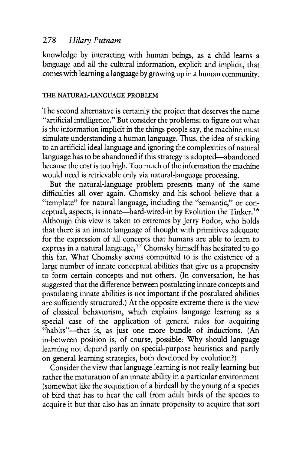knowledge by interacting with human beings, as a child learns a comes with learning a language by growing up in a human community. comes with learning a language by growing up in a human community.

#### THE NATURAL-LANGUAGE PROBLEM

The second alternative is certainly the project that deserves the name<br>"artificial intelligence." But consider the problems: to figure out what is the information implicit in the things people say, the machine must simulate understanding a human language. Thus, the idea of sticking to an artificial ideal language and ignoring the complexities of natural language has to be abandoned if this strategy is adopted—abandoned because the cost is too high. Too much of the information the machine would need is retrievable only via natural-language processing.

But the natural-language problem presents many of the same difficulties all over again. Chomsky and his school believe that a "template" for natural language, including the "semantic," or conceptual, aspects, is innate—hard-wired-in by Evolution the Tinker.<sup>16</sup> Although this view is taken to extremes by Jerry Fodor, who holds that there is an innate language of thought with primitives adequate for the expression of all concepts that humans are able to learn to  $\frac{1}{2}$  express in a natural language,  $\frac{1}{2}$  Chomsky himself has hesitated to go this far. What Chomsky seems committed to is the existence of a large number of innate conceptual abilities that give us a propensity to form certain concepts and not others. (In conversation, he has suggested that the difference between postulating innate concepts and postulating innate abilities is not important if the postulated abilities are sufficiently structured.) At the opposite extreme there is the view of classical behaviorism, which explains language learning as a special case of the application of general rules for acquiring "habits"—that is, as just one more bundle of inductions. (An in-between position is, of course, possible: Why should language learning not depend partly on special-purpose heuristics and partly on general learning strategies, both developed by evolution?)

Consider the view that language learning is not really learning but rather the maturation of an innate ability in a particular environment (somewhat like the acquisition of a birdcall by the young of a species of bird that has to hear the call from adult birds of the species to of bird that has to hear the call from adult birds of the species to acquire it but that also has an innate propensity to acquire that sort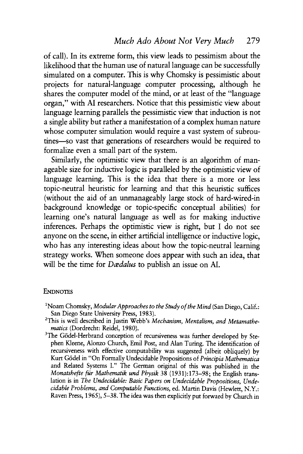of call). In its extreme form, this view leads to pessimism about the simulated on a computer. This is why Chomsky is pessimistic about projects for natural-language computer processing, although he shares the computer model of the mind, or at least of the "language" organ," with AI researchers. Notice that this pessimistic view about language learning parallels the pessimistic view that induction is not a single ability but rather a manifestation of a complex human nature whose computer simulation would require a vast system of subroutines—so vast that generations of researchers would be required to formalize even a small part of the system.

Similarly, the optimistic view that there is an algorithm of manageable size for inductive logic is paralleled by the optimistic view of language learning. This is the idea that there is a more or less topic-neutral heuristic for learning and that this heuristic suffices (without the aid of an unmanageably large stock of hard-wired-in background knowledge or topic-specific conceptual abilities) for learning one's natural language as well as for making inductive inferences. Perhaps the optimistic view is right, but I do not see anvone on the scene, in either artificial intelligence or inductive logic, who has any interesting ideas about how the topic-neutral learning strategy works. When someone does appear with such an idea, that strategy works. When someone does appear with such an idea, that will be the time for Dictations to publish an issue on  $\overline{\text{A}}$ .

#### **ENDNOTES**

- <sup>1</sup> Noam Chomsky, *Modular Approaches to the Study of the Mind* (San Diego, Calif.: San Diego State University Press, 1983). San Diego State University Press, 1983).
- $\sum_{i=1}^n$  is well described in Justin Webb's Mechanism, Mentalism, and Metam matics (Dordrecht: Reidel, 1980).<br><sup>3</sup>The Gödel-Herbrand conception of recursiveness was further developed by Ste-
- phen Kleene, Alonzo Church, Emil Post, and Alan Turing. The identification of recursiveness with effective computability was suggested (albeit obliquely) by Kurt Gödel in "On Formally Undecidable Propositions of Principia Mathematica and Related Systems I." The German original of this was published in the Monatshefte für Mathematik und Physik 38 (1931):173-98; the English translation is in The Undecidable: Basic Papers on Undecidable Propositions, Undecidable Problems, and Computable Functions, ed. Martin Davis (Hewlett, N.Y.: cidable Problems, and Computable Functions, ed. Martin Davis (Hewlett, N.Y.: 1999) Raven Press, 1965), 5-38. The idea was the men explicitly put forward by Church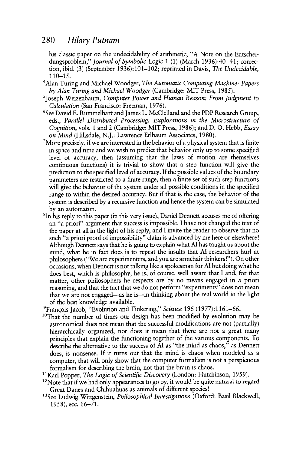his classic paper on the undecidability of arithmetic, "A Note on the Entschei-<br>dungsproblem," *Journal of Symbolic Logic* 1 (1) (March 1936):40–41: correcdungsproblem," Journal of Symbolic 100, sensitive Logic II,  $\frac{1}{2}$ ,  $\frac{1}{2}$ ,  $\frac{1}{2}$ ,  $\frac{1}{2}$ ,  $\frac{1}{2}$  tion, ibid. (3) (September 1936): 101-102; reprinted in Davis, The Undecidable, 110–15.<br><sup>4</sup>Alan Turing and Michael Woodger, *The Automatic Computing Machine: Papers* 

- by Alan Turing and Michael Woodger (Cambridge: MIT Press, 1985).
- ${}^{5}$ Joseph Weizenbaum, Computer Power and Human Reason: From Judgment to Calculation (San Francisco: Freeman, 1976).
- <sup>6</sup>See David E. Rummelhart and James L. McClelland and the PDP Research Group, eds., Parallel Distributed Processing: Explorations in the Microstructure of Cognition, vols. 1 and 2 (Cambridge: MIT Press, 1986); and D. O. Hebb, Essay on Mind (Hillsdale, N.J.: Lawrence Erlbaum Associates, 1980).
- $\gamma$ More precisely, if we are interested in the behavior of a physical system that is finite in space and time and we wish to predict that behavior only up to some specified level of accuracy, then (assuming that the laws of motion are themselves continuous functions) it is trivial to show that a step function will give the prediction to the specified level of accuracy. If the possible values of the boundary parameters are restricted to a finite range, then a finite set of such step functions will give the behavior of the system under all possible conditions in the specified range to within the desired accuracy. But if that is the case, the behavior of the range to within the desired accuracy. But if that is the case, the behavior system is described by a recursive function and hence the system can be simulated by an automaton.<br><sup>8</sup>In his reply to this paper (in this very issue), Daniel Dennett accuses me of offering
- an "a priori" argument that success is impossible. I have not changed the text of the paper at all in the light of his reply, and I invite the reader to observe that no such "a priori proof of impossibility" claim is advanced by me here or elsewhere! Although Dennett says that he is going to explain what AI has taught us about the mind, what he in fact does is to repeat the insults that AI researchers hurl at philosophers ("We are experimenters, and you are armchair thinkers!"). On other percessions, when Dennett is not talking like a spokesman for AI but doing what he does best, which is philosophy, he is, of course, well aware that I and, for that matter, other philosophers he respects are by no means engaged in a priori reasoning, and that the fact that we do not perform "experiments" does not mean reasoning, and that the fact that we do not perform "experiments" does not mean  $\frac{1}{2}$  he is? in this case is the is? In this case in this above the real world in the light
- of the best knowledge available.<br><sup>9</sup>François Jacob, "Evolution and Tinkering," *Science* 196 (1977):1161–66.
- <sup>10</sup>That the number of times our design has been modified by evolution may be astronomical does not mean that the successful modifications are not (partially) hierarchically organized, nor does it mean that there are not a great many principles that explain the functioning together of the various components. To principles that  $e_n$  is the various that explanate  $\alpha$  of  $\Lambda$  to  $\alpha$  (the mind  $\alpha$  chaoe  $\alpha$ ,  $\alpha$ ,  $\overline{\Lambda}$ describe the alternative to the success of  $\overline{\text{A1}}$  as "the mind as chaos," as Denne does, is nonsense. If it turns out that the mind is chaos when modeled as a computer, that will only show that the computer formalism is not a perspicuous formalism for describing the brain, not that the brain is chaos.
- $11$ Karl Popper, The Logic of Scientific Discovery (London: Hutchinson, 1959).
- <sup>12</sup>Note that if we had only appearances to go by, it would be quite natural to regard Great Danes and Chihuahuas as animals of different species!
- Great Danes and Chimuahuas as animals of different species. 13See Ludwig Wittgenstein, Philosophical Investigations (Oxford: Basil Blackwell, 1958), sec. 66-71.